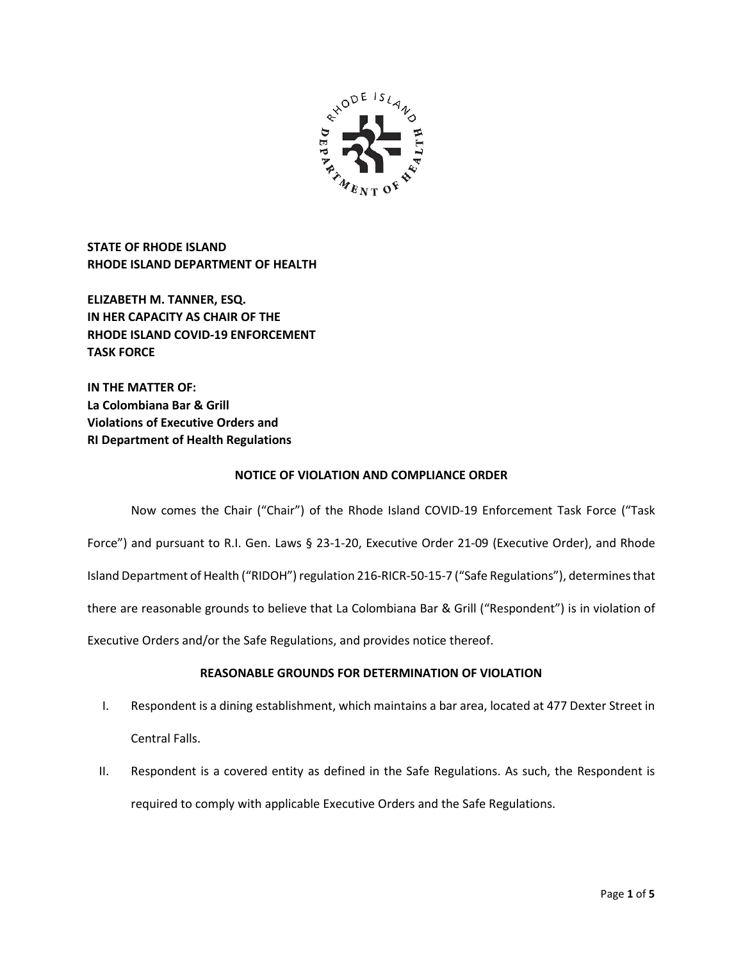

**STATE OF RHODE ISLAND RHODE ISLAND DEPARTMENT OF HEALTH**

**ELIZABETH M. TANNER, ESQ. IN HER CAPACITY AS CHAIR OF THE RHODE ISLAND COVID-19 ENFORCEMENT TASK FORCE** 

**IN THE MATTER OF: La Colombiana Bar & Grill Violations of Executive Orders and RI Department of Health Regulations**

## **NOTICE OF VIOLATION AND COMPLIANCE ORDER**

Now comes the Chair ("Chair") of the Rhode Island COVID-19 Enforcement Task Force ("Task Force") and pursuant to R.I. Gen. Laws § 23-1-20, Executive Order 21-09 (Executive Order), and Rhode Island Department of Health ("RIDOH") regulation 216-RICR-50-15-7 ("Safe Regulations"), determines that there are reasonable grounds to believe that La Colombiana Bar & Grill ("Respondent") is in violation of Executive Orders and/or the Safe Regulations, and provides notice thereof.

## **REASONABLE GROUNDS FOR DETERMINATION OF VIOLATION**

- I. Respondent is a dining establishment, which maintains a bar area, located at 477 Dexter Street in Central Falls.
- II. Respondent is a covered entity as defined in the Safe Regulations. As such, the Respondent is required to comply with applicable Executive Orders and the Safe Regulations.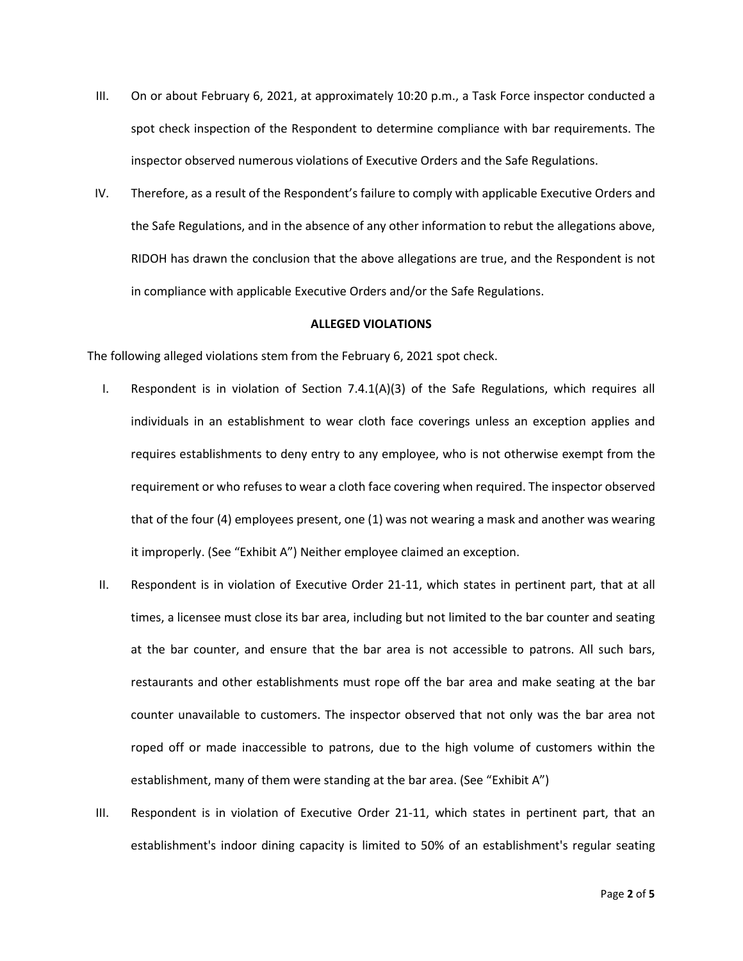- III. On or about February 6, 2021, at approximately 10:20 p.m., a Task Force inspector conducted a spot check inspection of the Respondent to determine compliance with bar requirements. The inspector observed numerous violations of Executive Orders and the Safe Regulations.
- IV. Therefore, as a result of the Respondent's failure to comply with applicable Executive Orders and the Safe Regulations, and in the absence of any other information to rebut the allegations above, RIDOH has drawn the conclusion that the above allegations are true, and the Respondent is not in compliance with applicable Executive Orders and/or the Safe Regulations.

### **ALLEGED VIOLATIONS**

The following alleged violations stem from the February 6, 2021 spot check.

- I. Respondent is in violation of Section 7.4.1(A)(3) of the Safe Regulations, which requires all individuals in an establishment to wear cloth face coverings unless an exception applies and requires establishments to deny entry to any employee, who is not otherwise exempt from the requirement or who refuses to wear a cloth face covering when required. The inspector observed that of the four (4) employees present, one (1) was not wearing a mask and another was wearing it improperly. (See "Exhibit A") Neither employee claimed an exception.
- II. Respondent is in violation of Executive Order 21-11, which states in pertinent part, that at all times, a licensee must close its bar area, including but not limited to the bar counter and seating at the bar counter, and ensure that the bar area is not accessible to patrons. All such bars, restaurants and other establishments must rope off the bar area and make seating at the bar counter unavailable to customers. The inspector observed that not only was the bar area not roped off or made inaccessible to patrons, due to the high volume of customers within the establishment, many of them were standing at the bar area. (See "Exhibit A")
- III. Respondent is in violation of Executive Order 21-11, which states in pertinent part, that an establishment's indoor dining capacity is limited to 50% of an establishment's regular seating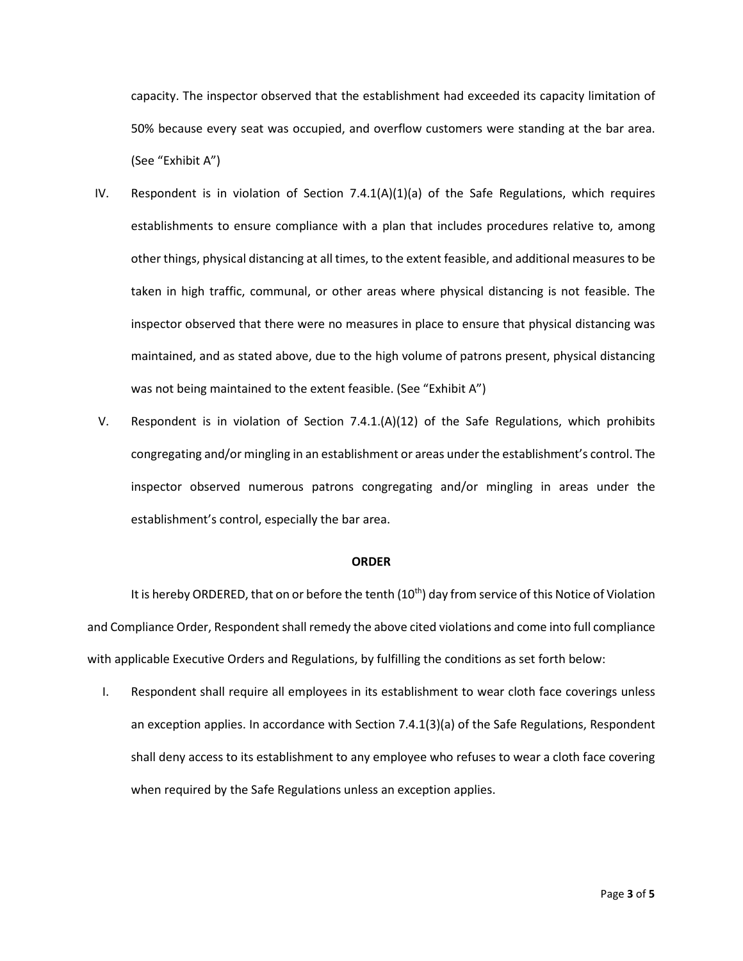capacity. The inspector observed that the establishment had exceeded its capacity limitation of 50% because every seat was occupied, and overflow customers were standing at the bar area. (See "Exhibit A")

- IV. Respondent is in violation of Section  $7.4.1(A)(1)(a)$  of the Safe Regulations, which requires establishments to ensure compliance with a plan that includes procedures relative to, among other things, physical distancing at all times, to the extent feasible, and additional measures to be taken in high traffic, communal, or other areas where physical distancing is not feasible. The inspector observed that there were no measures in place to ensure that physical distancing was maintained, and as stated above, due to the high volume of patrons present, physical distancing was not being maintained to the extent feasible. (See "Exhibit A")
- V. Respondent is in violation of Section 7.4.1.(A)(12) of the Safe Regulations, which prohibits congregating and/or mingling in an establishment or areas under the establishment's control. The inspector observed numerous patrons congregating and/or mingling in areas under the establishment's control, especially the bar area.

#### **ORDER**

It is hereby ORDERED, that on or before the tenth (10<sup>th</sup>) day from service of this Notice of Violation and Compliance Order, Respondent shall remedy the above cited violations and come into full compliance with applicable Executive Orders and Regulations, by fulfilling the conditions as set forth below:

I. Respondent shall require all employees in its establishment to wear cloth face coverings unless an exception applies. In accordance with Section 7.4.1(3)(a) of the Safe Regulations, Respondent shall deny access to its establishment to any employee who refuses to wear a cloth face covering when required by the Safe Regulations unless an exception applies.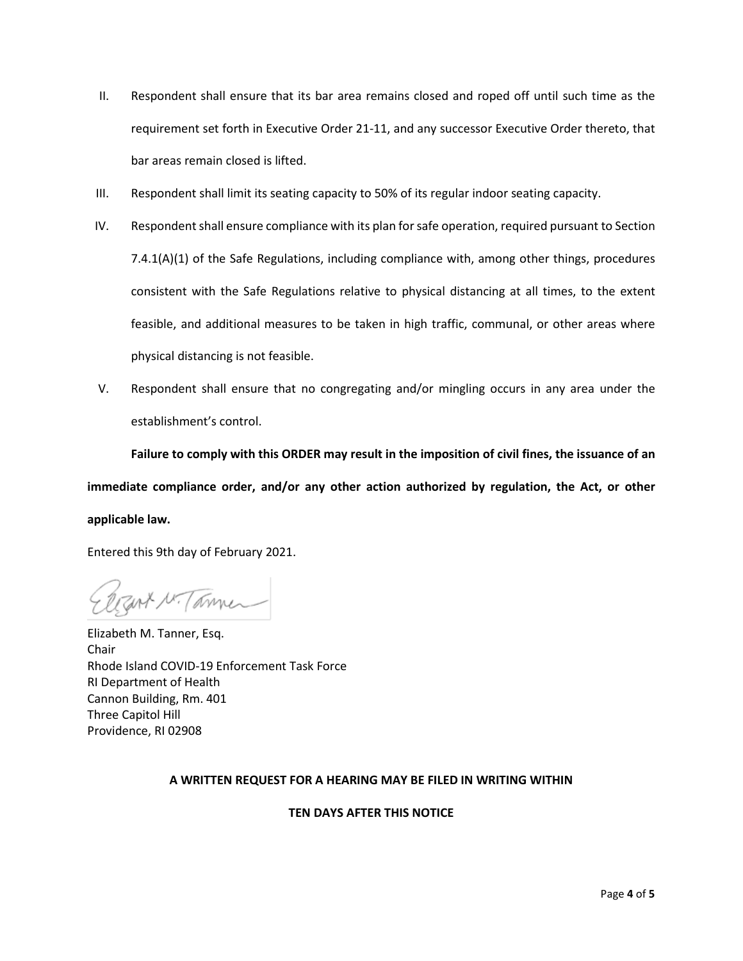- II. Respondent shall ensure that its bar area remains closed and roped off until such time as the requirement set forth in Executive Order 21-11, and any successor Executive Order thereto, that bar areas remain closed is lifted.
- III. Respondent shall limit its seating capacity to 50% of its regular indoor seating capacity.
- IV. Respondent shall ensure compliance with its plan for safe operation, required pursuant to Section 7.4.1(A)(1) of the Safe Regulations, including compliance with, among other things, procedures consistent with the Safe Regulations relative to physical distancing at all times, to the extent feasible, and additional measures to be taken in high traffic, communal, or other areas where physical distancing is not feasible.
- V. Respondent shall ensure that no congregating and/or mingling occurs in any area under the establishment's control.

**Failure to comply with this ORDER may result in the imposition of civil fines, the issuance of an immediate compliance order, and/or any other action authorized by regulation, the Act, or other applicable law.**

Entered this 9th day of February 2021.

Zert N. Tammer

Elizabeth M. Tanner, Esq. Chair Rhode Island COVID-19 Enforcement Task Force RI Department of Health Cannon Building, Rm. 401 Three Capitol Hill Providence, RI 02908

# **A WRITTEN REQUEST FOR A HEARING MAY BE FILED IN WRITING WITHIN**

## **TEN DAYS AFTER THIS NOTICE**